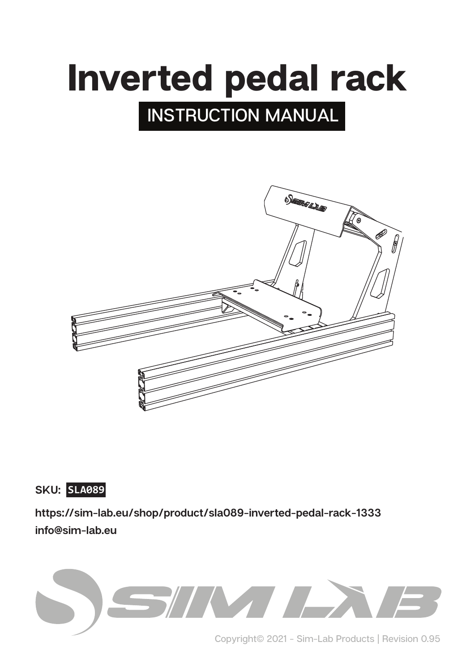# **INSTRUCTION MANUAL** Inverted pedal rack



**SKU: SLA089**

**https://sim-lab.eu/shop/product/sla089-inverted-pedal-rack-1333 info@sim-lab.eu**



**Copyright© 2021 - Sim-Lab Products | Revision 0.95**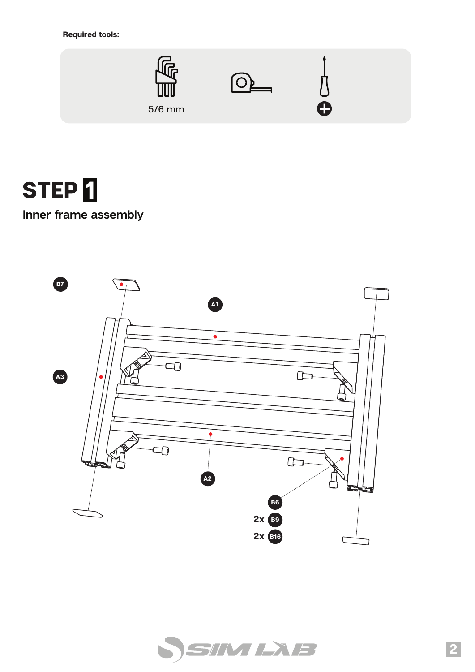Required tools:





**Inner frame assembly**



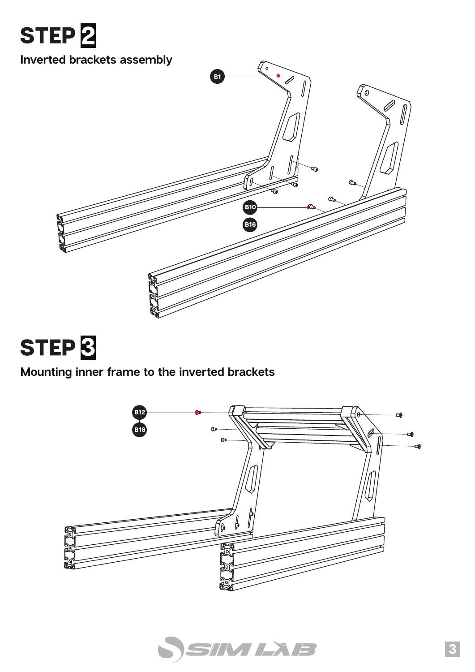



### **Mounting inner frame to the inverted brackets**



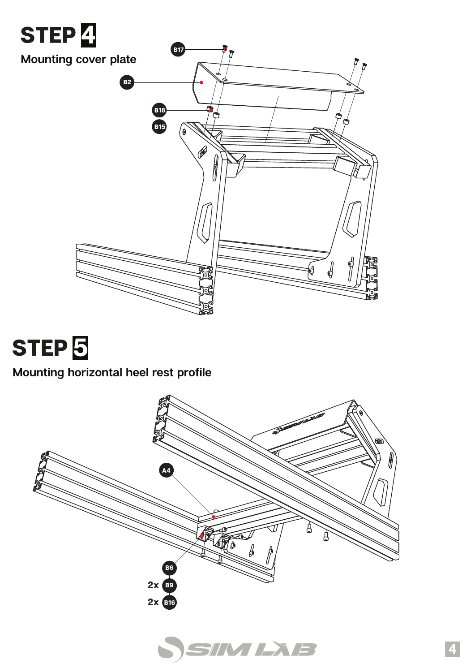

## STEP<sup>5</sup>

#### **Mounting horizontal heel rest profile**



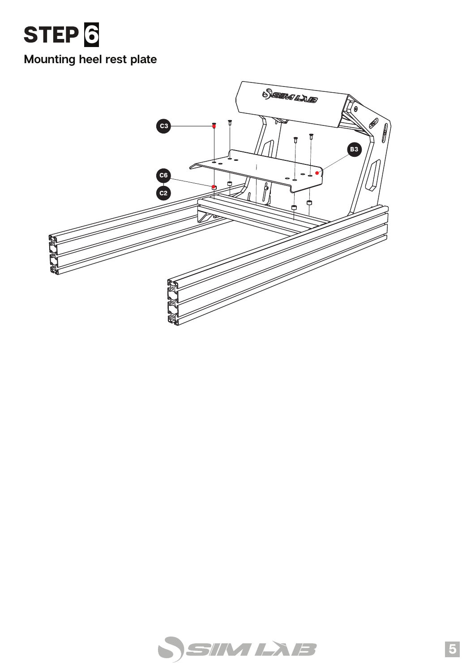